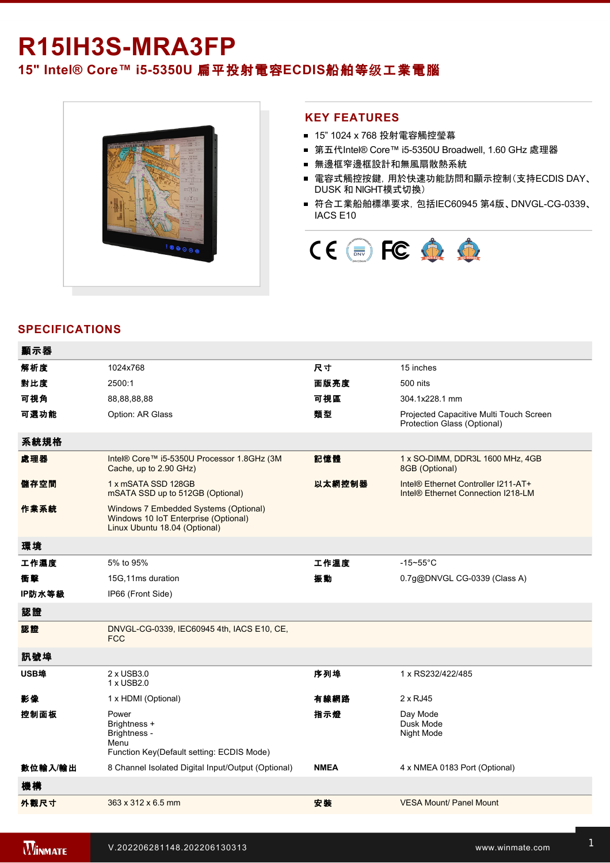# R15IH3S-MRA3FP **15" Intel® Core™ i55350U** 扁平投射電容**ECDIS**船舶等级工業電腦



#### **KEY FEATURES**

- 15" 1024 x 768 投射電容觸控瑩幕
- 第五代Intel® Core™ i5-5350U Broadwell, 1.60 GHz 處理器
- 無邊框窄邊框設計和無風扇散熱系統
- 電容式觸控按鍵, 用於快速功能訪問和顯示控制(支持ECDIS DAY、 DUSK 和 NIGHT模式切換)
- 符合工業船舶標準要求, 包括IEC60945 第4版、DNVGL-CG-0339、 IACS E10



### **SPECIFICATIONS**

| 顯示器     |                                                                                                                |             |                                                                                       |
|---------|----------------------------------------------------------------------------------------------------------------|-------------|---------------------------------------------------------------------------------------|
| 解析度     | 1024x768                                                                                                       | 尺寸          | 15 inches                                                                             |
| 對比度     | 2500:1                                                                                                         | 面版亮度        | 500 nits                                                                              |
| 可視角     | 88,88,88,88                                                                                                    | 可視區         | 304.1x228.1 mm                                                                        |
| 可選功能    | Option: AR Glass                                                                                               | 類型          | Projected Capacitive Multi Touch Screen<br>Protection Glass (Optional)                |
| 系統規格    |                                                                                                                |             |                                                                                       |
| 處理器     | Intel® Core™ i5-5350U Processor 1.8GHz (3M<br>Cache, up to 2.90 GHz)                                           | 記憶體         | 1 x SO-DIMM, DDR3L 1600 MHz, 4GB<br>8GB (Optional)                                    |
| 儲存空間    | 1 x mSATA SSD 128GB<br>mSATA SSD up to 512GB (Optional)                                                        | 以太網控制器      | Intel® Ethernet Controller I211-AT+<br>Intel <sup>®</sup> Ethernet Connection I218-LM |
| 作業系統    | Windows 7 Embedded Systems (Optional)<br>Windows 10 IoT Enterprise (Optional)<br>Linux Ubuntu 18.04 (Optional) |             |                                                                                       |
| 環境      |                                                                                                                |             |                                                                                       |
| 工作濕度    | 5% to 95%                                                                                                      | 工作溫度        | $-15 - 55$ °C                                                                         |
| 衝撃      | 15G, 11ms duration                                                                                             | 振動          | 0.7g@DNVGL CG-0339 (Class A)                                                          |
| IP防水等級  | IP66 (Front Side)                                                                                              |             |                                                                                       |
| 認證      |                                                                                                                |             |                                                                                       |
| 認證      | DNVGL-CG-0339, IEC60945 4th, IACS E10, CE,<br><b>FCC</b>                                                       |             |                                                                                       |
| 訊號埠     |                                                                                                                |             |                                                                                       |
| USB埠    | 2 x USB3.0<br>1 x USB2.0                                                                                       | 序列埠         | 1 x RS232/422/485                                                                     |
| 影像      | 1 x HDMI (Optional)                                                                                            | 有線網路        | $2 \times$ RJ45                                                                       |
| 控制面板    | Power<br>Brightness +<br>Brightness -<br>Menu<br>Function Key(Default setting: ECDIS Mode)                     | 指示燈         | Day Mode<br>Dusk Mode<br>Night Mode                                                   |
| 數位輸入/輸出 | 8 Channel Isolated Digital Input/Output (Optional)                                                             | <b>NMEA</b> | 4 x NMEA 0183 Port (Optional)                                                         |
| 機構      |                                                                                                                |             |                                                                                       |
| 外觀尺寸    | 363 x 312 x 6.5 mm                                                                                             | 安装          | <b>VESA Mount/ Panel Mount</b>                                                        |

AC to DC Adapter

Type)\*For NMEA port (Optional)\*For NMEA port (Optional)\*For NMEA port (Optional)